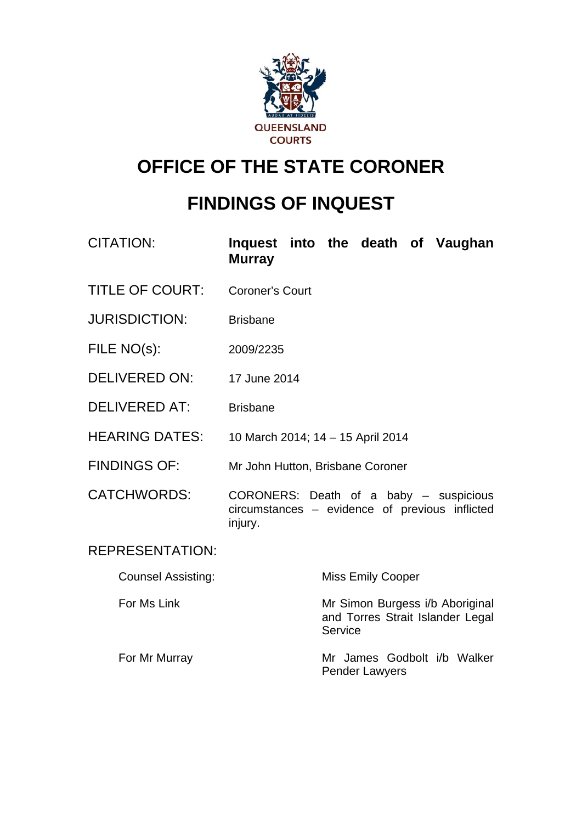

# **OFFICE OF THE STATE CORONER**

# **FINDINGS OF INQUEST**

| <b>CITATION:</b>          | Inquest into the death of Vaughan<br><b>Murray</b>                                                  |         |                                                                     |  |  |
|---------------------------|-----------------------------------------------------------------------------------------------------|---------|---------------------------------------------------------------------|--|--|
| <b>TITLE OF COURT:</b>    | <b>Coroner's Court</b>                                                                              |         |                                                                     |  |  |
| <b>JURISDICTION:</b>      | <b>Brisbane</b>                                                                                     |         |                                                                     |  |  |
| FILE NO(s):               | 2009/2235                                                                                           |         |                                                                     |  |  |
| <b>DELIVERED ON:</b>      | 17 June 2014                                                                                        |         |                                                                     |  |  |
| <b>DELIVERED AT:</b>      | <b>Brisbane</b>                                                                                     |         |                                                                     |  |  |
| <b>HEARING DATES:</b>     | 10 March 2014; 14 - 15 April 2014                                                                   |         |                                                                     |  |  |
| <b>FINDINGS OF:</b>       | Mr John Hutton, Brisbane Coroner                                                                    |         |                                                                     |  |  |
| <b>CATCHWORDS:</b>        | CORONERS: Death of a baby – suspicious<br>circumstances – evidence of previous inflicted<br>injury. |         |                                                                     |  |  |
| <b>REPRESENTATION:</b>    |                                                                                                     |         |                                                                     |  |  |
| <b>Counsel Assisting:</b> |                                                                                                     |         | <b>Miss Emily Cooper</b>                                            |  |  |
| For Ms Link               |                                                                                                     | Service | Mr Simon Burgess i/b Aboriginal<br>and Torres Strait Islander Legal |  |  |
| For Mr Murray             |                                                                                                     |         | Mr James Godbolt i/b Walker                                         |  |  |

Pender Lawyers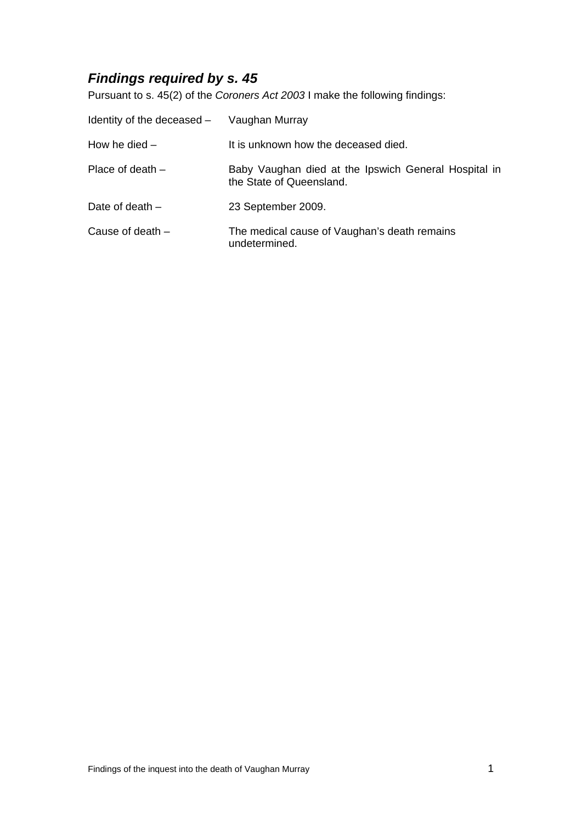# *Findings required by s. 45*

Pursuant to s. 45(2) of the *Coroners Act 2003* I make the following findings:

| Identity of the deceased - Vaughan Murray |                                                                                  |
|-------------------------------------------|----------------------------------------------------------------------------------|
| How he died $-$                           | It is unknown how the deceased died.                                             |
| Place of death $-$                        | Baby Vaughan died at the Ipswich General Hospital in<br>the State of Queensland. |
| Date of death $-$                         | 23 September 2009.                                                               |
| Cause of death $-$                        | The medical cause of Vaughan's death remains<br>undetermined.                    |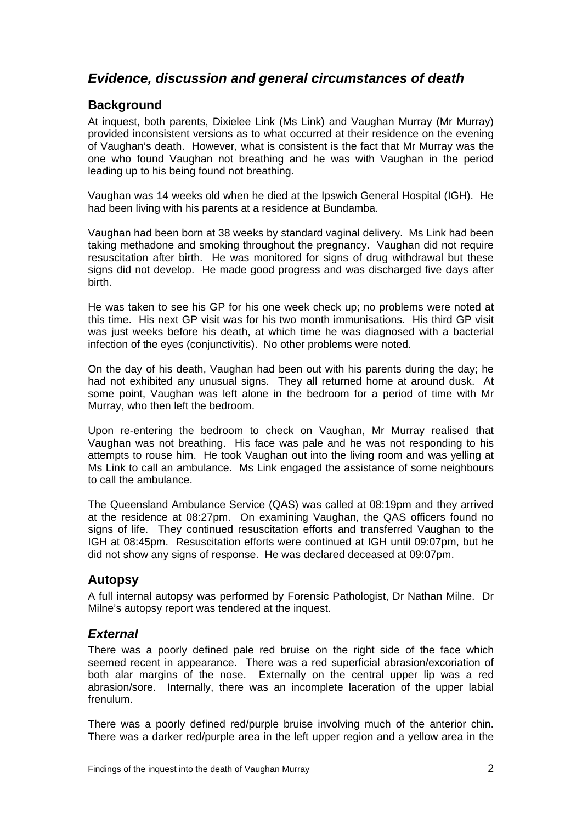# *Evidence, discussion and general circumstances of death*

# **Background**

At inquest, both parents, Dixielee Link (Ms Link) and Vaughan Murray (Mr Murray) provided inconsistent versions as to what occurred at their residence on the evening of Vaughan's death. However, what is consistent is the fact that Mr Murray was the one who found Vaughan not breathing and he was with Vaughan in the period leading up to his being found not breathing.

Vaughan was 14 weeks old when he died at the Ipswich General Hospital (IGH). He had been living with his parents at a residence at Bundamba.

Vaughan had been born at 38 weeks by standard vaginal delivery. Ms Link had been taking methadone and smoking throughout the pregnancy. Vaughan did not require resuscitation after birth. He was monitored for signs of drug withdrawal but these signs did not develop. He made good progress and was discharged five days after birth.

He was taken to see his GP for his one week check up; no problems were noted at this time. His next GP visit was for his two month immunisations. His third GP visit was just weeks before his death, at which time he was diagnosed with a bacterial infection of the eyes (conjunctivitis). No other problems were noted.

On the day of his death, Vaughan had been out with his parents during the day; he had not exhibited any unusual signs. They all returned home at around dusk. At some point, Vaughan was left alone in the bedroom for a period of time with Mr Murray, who then left the bedroom.

Upon re-entering the bedroom to check on Vaughan, Mr Murray realised that Vaughan was not breathing. His face was pale and he was not responding to his attempts to rouse him. He took Vaughan out into the living room and was yelling at Ms Link to call an ambulance. Ms Link engaged the assistance of some neighbours to call the ambulance.

The Queensland Ambulance Service (QAS) was called at 08:19pm and they arrived at the residence at 08:27pm. On examining Vaughan, the QAS officers found no signs of life. They continued resuscitation efforts and transferred Vaughan to the IGH at 08:45pm. Resuscitation efforts were continued at IGH until 09:07pm, but he did not show any signs of response. He was declared deceased at 09:07pm.

# **Autopsy**

A full internal autopsy was performed by Forensic Pathologist, Dr Nathan Milne. Dr Milne's autopsy report was tendered at the inquest.

# *External*

There was a poorly defined pale red bruise on the right side of the face which seemed recent in appearance. There was a red superficial abrasion/excoriation of both alar margins of the nose. Externally on the central upper lip was a red abrasion/sore. Internally, there was an incomplete laceration of the upper labial frenulum.

There was a poorly defined red/purple bruise involving much of the anterior chin. There was a darker red/purple area in the left upper region and a yellow area in the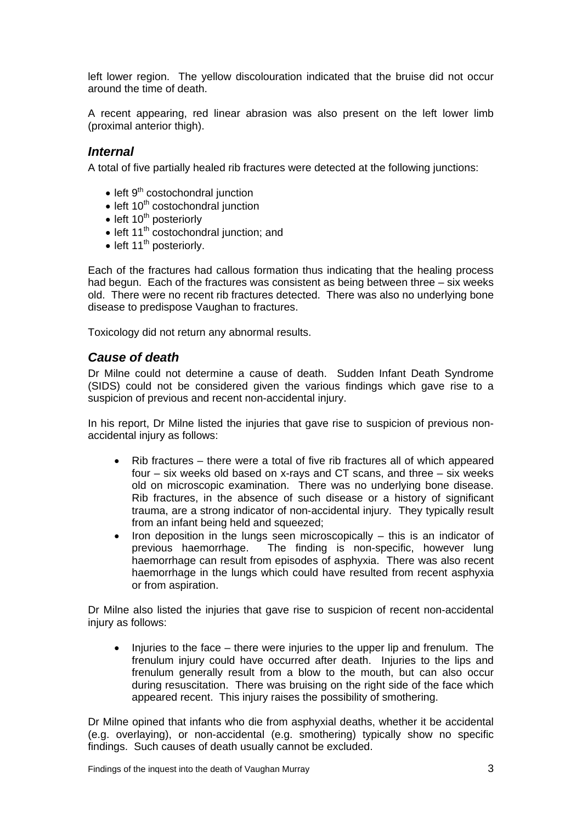left lower region. The yellow discolouration indicated that the bruise did not occur around the time of death.

A recent appearing, red linear abrasion was also present on the left lower limb (proximal anterior thigh).

#### *Internal*

A total of five partially healed rib fractures were detected at the following junctions:

- $\bullet$  left  $9<sup>th</sup>$  costochondral junction
- $\bullet$  left 10<sup>th</sup> costochondral junction
- $\bullet$  left 10<sup>th</sup> posteriorly
- $\bullet$  left 11<sup>th</sup> costochondral junction; and
- $\bullet$  left 11<sup>th</sup> posteriorly.

Each of the fractures had callous formation thus indicating that the healing process had begun. Each of the fractures was consistent as being between three – six weeks old. There were no recent rib fractures detected. There was also no underlying bone disease to predispose Vaughan to fractures.

Toxicology did not return any abnormal results.

#### *Cause of death*

Dr Milne could not determine a cause of death. Sudden Infant Death Syndrome (SIDS) could not be considered given the various findings which gave rise to a suspicion of previous and recent non-accidental injury.

In his report, Dr Milne listed the injuries that gave rise to suspicion of previous nonaccidental injury as follows:

- Rib fractures there were a total of five rib fractures all of which appeared four – six weeks old based on x-rays and CT scans, and three – six weeks old on microscopic examination. There was no underlying bone disease. Rib fractures, in the absence of such disease or a history of significant trauma, are a strong indicator of non-accidental injury. They typically result from an infant being held and squeezed;
- Iron deposition in the lungs seen microscopically  $-$  this is an indicator of previous haemorrhage. The finding is non-specific, however lung haemorrhage can result from episodes of asphyxia. There was also recent haemorrhage in the lungs which could have resulted from recent asphyxia or from aspiration.

Dr Milne also listed the injuries that gave rise to suspicion of recent non-accidental injury as follows:

 $\bullet$  Injuries to the face – there were injuries to the upper lip and frenulum. The frenulum injury could have occurred after death. Injuries to the lips and frenulum generally result from a blow to the mouth, but can also occur during resuscitation. There was bruising on the right side of the face which appeared recent. This injury raises the possibility of smothering.

Dr Milne opined that infants who die from asphyxial deaths, whether it be accidental (e.g. overlaying), or non-accidental (e.g. smothering) typically show no specific findings. Such causes of death usually cannot be excluded.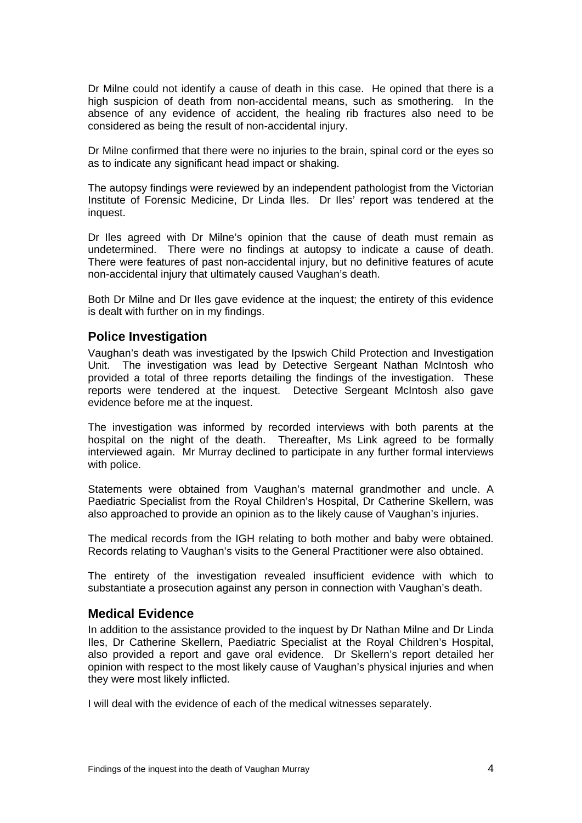Dr Milne could not identify a cause of death in this case. He opined that there is a high suspicion of death from non-accidental means, such as smothering. In the absence of any evidence of accident, the healing rib fractures also need to be considered as being the result of non-accidental injury.

Dr Milne confirmed that there were no injuries to the brain, spinal cord or the eyes so as to indicate any significant head impact or shaking.

The autopsy findings were reviewed by an independent pathologist from the Victorian Institute of Forensic Medicine, Dr Linda Iles. Dr Iles' report was tendered at the inquest.

Dr Iles agreed with Dr Milne's opinion that the cause of death must remain as undetermined. There were no findings at autopsy to indicate a cause of death. There were features of past non-accidental injury, but no definitive features of acute non-accidental injury that ultimately caused Vaughan's death.

Both Dr Milne and Dr Iles gave evidence at the inquest; the entirety of this evidence is dealt with further on in my findings.

#### **Police Investigation**

Vaughan's death was investigated by the Ipswich Child Protection and Investigation Unit. The investigation was lead by Detective Sergeant Nathan McIntosh who provided a total of three reports detailing the findings of the investigation. These reports were tendered at the inquest. Detective Sergeant McIntosh also gave evidence before me at the inquest.

The investigation was informed by recorded interviews with both parents at the hospital on the night of the death. Thereafter, Ms Link agreed to be formally interviewed again. Mr Murray declined to participate in any further formal interviews with police.

Statements were obtained from Vaughan's maternal grandmother and uncle. A Paediatric Specialist from the Royal Children's Hospital, Dr Catherine Skellern, was also approached to provide an opinion as to the likely cause of Vaughan's injuries.

The medical records from the IGH relating to both mother and baby were obtained. Records relating to Vaughan's visits to the General Practitioner were also obtained.

The entirety of the investigation revealed insufficient evidence with which to substantiate a prosecution against any person in connection with Vaughan's death.

#### **Medical Evidence**

In addition to the assistance provided to the inquest by Dr Nathan Milne and Dr Linda Iles, Dr Catherine Skellern, Paediatric Specialist at the Royal Children's Hospital, also provided a report and gave oral evidence. Dr Skellern's report detailed her opinion with respect to the most likely cause of Vaughan's physical injuries and when they were most likely inflicted.

I will deal with the evidence of each of the medical witnesses separately.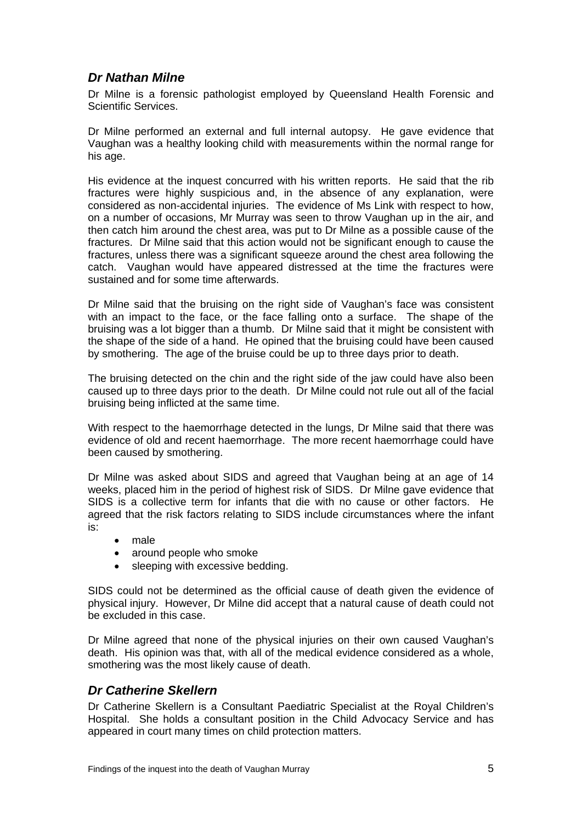# *Dr Nathan Milne*

Dr Milne is a forensic pathologist employed by Queensland Health Forensic and Scientific Services.

Dr Milne performed an external and full internal autopsy. He gave evidence that Vaughan was a healthy looking child with measurements within the normal range for his age.

His evidence at the inquest concurred with his written reports. He said that the rib fractures were highly suspicious and, in the absence of any explanation, were considered as non-accidental injuries. The evidence of Ms Link with respect to how, on a number of occasions, Mr Murray was seen to throw Vaughan up in the air, and then catch him around the chest area, was put to Dr Milne as a possible cause of the fractures. Dr Milne said that this action would not be significant enough to cause the fractures, unless there was a significant squeeze around the chest area following the catch. Vaughan would have appeared distressed at the time the fractures were sustained and for some time afterwards.

Dr Milne said that the bruising on the right side of Vaughan's face was consistent with an impact to the face, or the face falling onto a surface. The shape of the bruising was a lot bigger than a thumb. Dr Milne said that it might be consistent with the shape of the side of a hand. He opined that the bruising could have been caused by smothering. The age of the bruise could be up to three days prior to death.

The bruising detected on the chin and the right side of the jaw could have also been caused up to three days prior to the death. Dr Milne could not rule out all of the facial bruising being inflicted at the same time.

With respect to the haemorrhage detected in the lungs, Dr Milne said that there was evidence of old and recent haemorrhage. The more recent haemorrhage could have been caused by smothering.

Dr Milne was asked about SIDS and agreed that Vaughan being at an age of 14 weeks, placed him in the period of highest risk of SIDS. Dr Milne gave evidence that SIDS is a collective term for infants that die with no cause or other factors. He agreed that the risk factors relating to SIDS include circumstances where the infant is:

- male
- around people who smoke
- sleeping with excessive bedding.

SIDS could not be determined as the official cause of death given the evidence of physical injury. However, Dr Milne did accept that a natural cause of death could not be excluded in this case.

Dr Milne agreed that none of the physical injuries on their own caused Vaughan's death. His opinion was that, with all of the medical evidence considered as a whole, smothering was the most likely cause of death.

# *Dr Catherine Skellern*

Dr Catherine Skellern is a Consultant Paediatric Specialist at the Royal Children's Hospital. She holds a consultant position in the Child Advocacy Service and has appeared in court many times on child protection matters.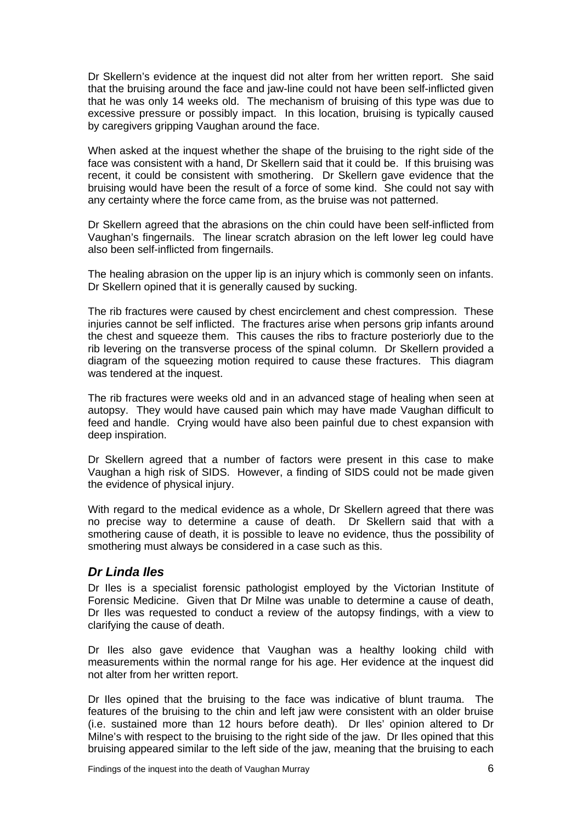Dr Skellern's evidence at the inquest did not alter from her written report. She said that the bruising around the face and jaw-line could not have been self-inflicted given that he was only 14 weeks old. The mechanism of bruising of this type was due to excessive pressure or possibly impact. In this location, bruising is typically caused by caregivers gripping Vaughan around the face.

When asked at the inquest whether the shape of the bruising to the right side of the face was consistent with a hand, Dr Skellern said that it could be. If this bruising was recent, it could be consistent with smothering. Dr Skellern gave evidence that the bruising would have been the result of a force of some kind. She could not say with any certainty where the force came from, as the bruise was not patterned.

Dr Skellern agreed that the abrasions on the chin could have been self-inflicted from Vaughan's fingernails. The linear scratch abrasion on the left lower leg could have also been self-inflicted from fingernails.

The healing abrasion on the upper lip is an injury which is commonly seen on infants. Dr Skellern opined that it is generally caused by sucking.

The rib fractures were caused by chest encirclement and chest compression. These injuries cannot be self inflicted. The fractures arise when persons grip infants around the chest and squeeze them. This causes the ribs to fracture posteriorly due to the rib levering on the transverse process of the spinal column. Dr Skellern provided a diagram of the squeezing motion required to cause these fractures. This diagram was tendered at the inquest.

The rib fractures were weeks old and in an advanced stage of healing when seen at autopsy. They would have caused pain which may have made Vaughan difficult to feed and handle. Crying would have also been painful due to chest expansion with deep inspiration.

Dr Skellern agreed that a number of factors were present in this case to make Vaughan a high risk of SIDS. However, a finding of SIDS could not be made given the evidence of physical injury.

With regard to the medical evidence as a whole, Dr Skellern agreed that there was no precise way to determine a cause of death. Dr Skellern said that with a smothering cause of death, it is possible to leave no evidence, thus the possibility of smothering must always be considered in a case such as this.

#### *Dr Linda Iles*

Dr Iles is a specialist forensic pathologist employed by the Victorian Institute of Forensic Medicine. Given that Dr Milne was unable to determine a cause of death, Dr Iles was requested to conduct a review of the autopsy findings, with a view to clarifying the cause of death.

Dr Iles also gave evidence that Vaughan was a healthy looking child with measurements within the normal range for his age. Her evidence at the inquest did not alter from her written report.

Dr Iles opined that the bruising to the face was indicative of blunt trauma. The features of the bruising to the chin and left jaw were consistent with an older bruise (i.e. sustained more than 12 hours before death). Dr Iles' opinion altered to Dr Milne's with respect to the bruising to the right side of the jaw. Dr Iles opined that this bruising appeared similar to the left side of the jaw, meaning that the bruising to each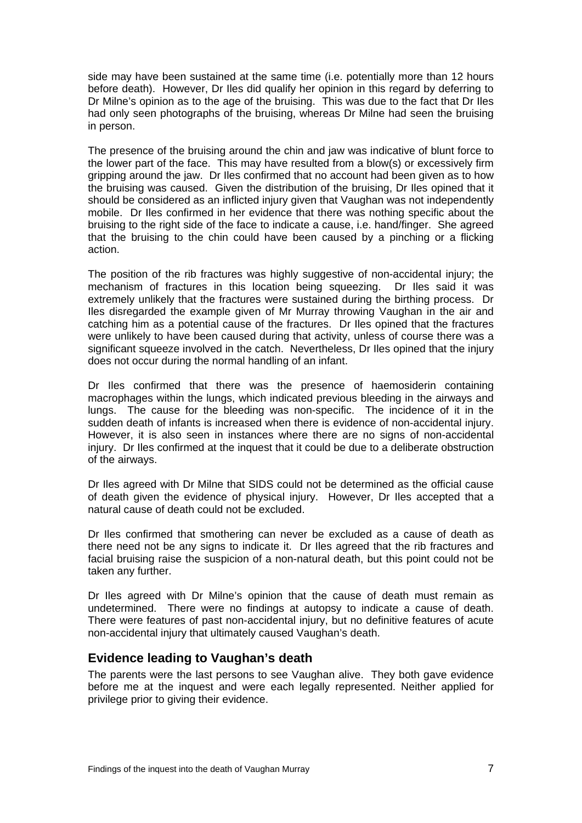side may have been sustained at the same time (i.e. potentially more than 12 hours before death). However, Dr Iles did qualify her opinion in this regard by deferring to Dr Milne's opinion as to the age of the bruising. This was due to the fact that Dr Iles had only seen photographs of the bruising, whereas Dr Milne had seen the bruising in person.

The presence of the bruising around the chin and jaw was indicative of blunt force to the lower part of the face. This may have resulted from a blow(s) or excessively firm gripping around the jaw. Dr Iles confirmed that no account had been given as to how the bruising was caused. Given the distribution of the bruising, Dr Iles opined that it should be considered as an inflicted injury given that Vaughan was not independently mobile. Dr Iles confirmed in her evidence that there was nothing specific about the bruising to the right side of the face to indicate a cause, i.e. hand/finger. She agreed that the bruising to the chin could have been caused by a pinching or a flicking action.

The position of the rib fractures was highly suggestive of non-accidental injury; the mechanism of fractures in this location being squeezing. Dr Iles said it was extremely unlikely that the fractures were sustained during the birthing process. Dr Iles disregarded the example given of Mr Murray throwing Vaughan in the air and catching him as a potential cause of the fractures. Dr Iles opined that the fractures were unlikely to have been caused during that activity, unless of course there was a significant squeeze involved in the catch. Nevertheless, Dr Iles opined that the injury does not occur during the normal handling of an infant.

Dr Iles confirmed that there was the presence of haemosiderin containing macrophages within the lungs, which indicated previous bleeding in the airways and lungs. The cause for the bleeding was non-specific. The incidence of it in the sudden death of infants is increased when there is evidence of non-accidental injury. However, it is also seen in instances where there are no signs of non-accidental injury. Dr Iles confirmed at the inquest that it could be due to a deliberate obstruction of the airways.

Dr Iles agreed with Dr Milne that SIDS could not be determined as the official cause of death given the evidence of physical injury. However, Dr Iles accepted that a natural cause of death could not be excluded.

Dr Iles confirmed that smothering can never be excluded as a cause of death as there need not be any signs to indicate it. Dr Iles agreed that the rib fractures and facial bruising raise the suspicion of a non-natural death, but this point could not be taken any further.

Dr Iles agreed with Dr Milne's opinion that the cause of death must remain as undetermined. There were no findings at autopsy to indicate a cause of death. There were features of past non-accidental injury, but no definitive features of acute non-accidental injury that ultimately caused Vaughan's death.

#### **Evidence leading to Vaughan's death**

The parents were the last persons to see Vaughan alive. They both gave evidence before me at the inquest and were each legally represented. Neither applied for privilege prior to giving their evidence.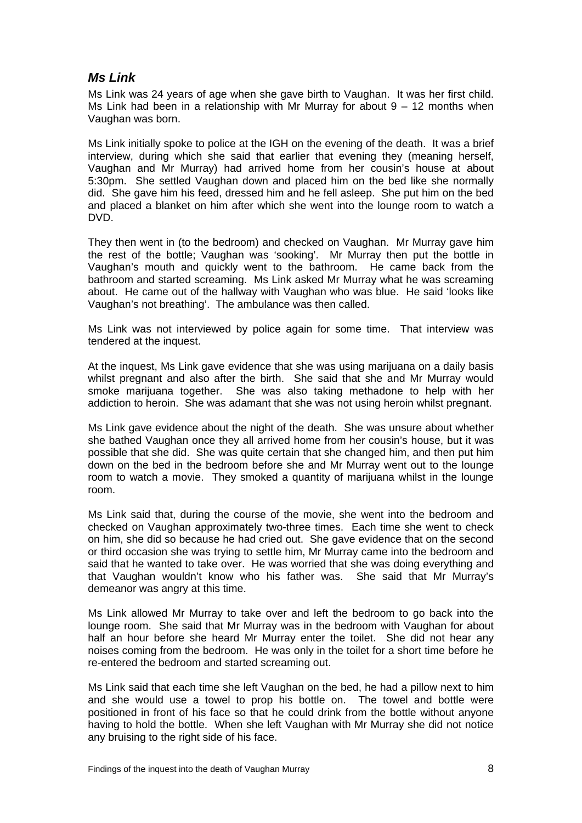### *Ms Link*

Ms Link was 24 years of age when she gave birth to Vaughan. It was her first child. Ms Link had been in a relationship with Mr Murray for about  $9 - 12$  months when Vaughan was born.

Ms Link initially spoke to police at the IGH on the evening of the death. It was a brief interview, during which she said that earlier that evening they (meaning herself, Vaughan and Mr Murray) had arrived home from her cousin's house at about 5:30pm. She settled Vaughan down and placed him on the bed like she normally did. She gave him his feed, dressed him and he fell asleep. She put him on the bed and placed a blanket on him after which she went into the lounge room to watch a DVD.

They then went in (to the bedroom) and checked on Vaughan. Mr Murray gave him the rest of the bottle; Vaughan was 'sooking'. Mr Murray then put the bottle in Vaughan's mouth and quickly went to the bathroom. He came back from the bathroom and started screaming. Ms Link asked Mr Murray what he was screaming about. He came out of the hallway with Vaughan who was blue. He said 'looks like Vaughan's not breathing'. The ambulance was then called.

Ms Link was not interviewed by police again for some time. That interview was tendered at the inquest.

At the inquest, Ms Link gave evidence that she was using marijuana on a daily basis whilst pregnant and also after the birth. She said that she and Mr Murray would smoke marijuana together. She was also taking methadone to help with her addiction to heroin. She was adamant that she was not using heroin whilst pregnant.

Ms Link gave evidence about the night of the death. She was unsure about whether she bathed Vaughan once they all arrived home from her cousin's house, but it was possible that she did. She was quite certain that she changed him, and then put him down on the bed in the bedroom before she and Mr Murray went out to the lounge room to watch a movie. They smoked a quantity of marijuana whilst in the lounge room.

Ms Link said that, during the course of the movie, she went into the bedroom and checked on Vaughan approximately two-three times. Each time she went to check on him, she did so because he had cried out. She gave evidence that on the second or third occasion she was trying to settle him, Mr Murray came into the bedroom and said that he wanted to take over. He was worried that she was doing everything and that Vaughan wouldn't know who his father was. She said that Mr Murray's demeanor was angry at this time.

Ms Link allowed Mr Murray to take over and left the bedroom to go back into the lounge room. She said that Mr Murray was in the bedroom with Vaughan for about half an hour before she heard Mr Murray enter the toilet. She did not hear any noises coming from the bedroom. He was only in the toilet for a short time before he re-entered the bedroom and started screaming out.

Ms Link said that each time she left Vaughan on the bed, he had a pillow next to him and she would use a towel to prop his bottle on. The towel and bottle were positioned in front of his face so that he could drink from the bottle without anyone having to hold the bottle. When she left Vaughan with Mr Murray she did not notice any bruising to the right side of his face.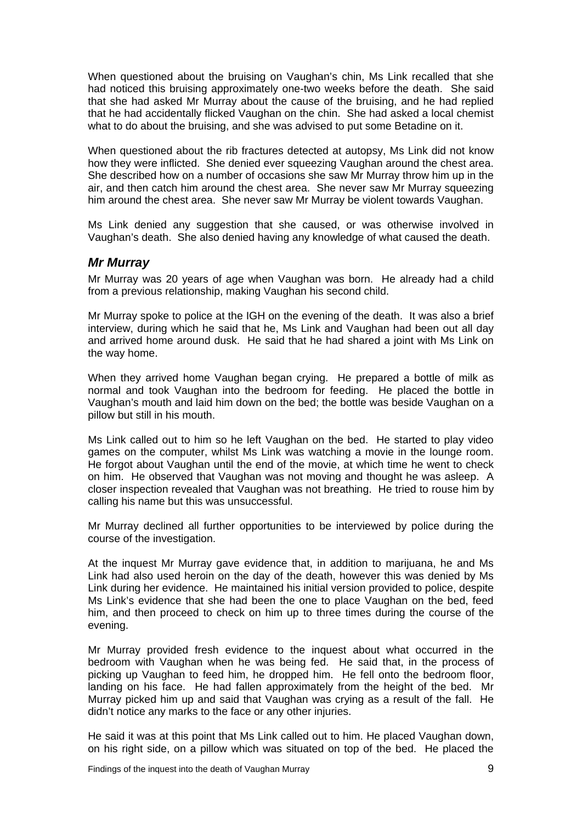When questioned about the bruising on Vaughan's chin, Ms Link recalled that she had noticed this bruising approximately one-two weeks before the death. She said that she had asked Mr Murray about the cause of the bruising, and he had replied that he had accidentally flicked Vaughan on the chin. She had asked a local chemist what to do about the bruising, and she was advised to put some Betadine on it.

When questioned about the rib fractures detected at autopsy, Ms Link did not know how they were inflicted. She denied ever squeezing Vaughan around the chest area. She described how on a number of occasions she saw Mr Murray throw him up in the air, and then catch him around the chest area. She never saw Mr Murray squeezing him around the chest area. She never saw Mr Murray be violent towards Vaughan.

Ms Link denied any suggestion that she caused, or was otherwise involved in Vaughan's death. She also denied having any knowledge of what caused the death.

#### *Mr Murray*

Mr Murray was 20 years of age when Vaughan was born. He already had a child from a previous relationship, making Vaughan his second child.

Mr Murray spoke to police at the IGH on the evening of the death. It was also a brief interview, during which he said that he, Ms Link and Vaughan had been out all day and arrived home around dusk. He said that he had shared a joint with Ms Link on the way home.

When they arrived home Vaughan began crying. He prepared a bottle of milk as normal and took Vaughan into the bedroom for feeding. He placed the bottle in Vaughan's mouth and laid him down on the bed; the bottle was beside Vaughan on a pillow but still in his mouth.

Ms Link called out to him so he left Vaughan on the bed. He started to play video games on the computer, whilst Ms Link was watching a movie in the lounge room. He forgot about Vaughan until the end of the movie, at which time he went to check on him. He observed that Vaughan was not moving and thought he was asleep. A closer inspection revealed that Vaughan was not breathing. He tried to rouse him by calling his name but this was unsuccessful.

Mr Murray declined all further opportunities to be interviewed by police during the course of the investigation.

At the inquest Mr Murray gave evidence that, in addition to marijuana, he and Ms Link had also used heroin on the day of the death, however this was denied by Ms Link during her evidence. He maintained his initial version provided to police, despite Ms Link's evidence that she had been the one to place Vaughan on the bed, feed him, and then proceed to check on him up to three times during the course of the evening.

Mr Murray provided fresh evidence to the inquest about what occurred in the bedroom with Vaughan when he was being fed. He said that, in the process of picking up Vaughan to feed him, he dropped him. He fell onto the bedroom floor, landing on his face. He had fallen approximately from the height of the bed. Mr Murray picked him up and said that Vaughan was crying as a result of the fall. He didn't notice any marks to the face or any other injuries.

He said it was at this point that Ms Link called out to him. He placed Vaughan down, on his right side, on a pillow which was situated on top of the bed. He placed the